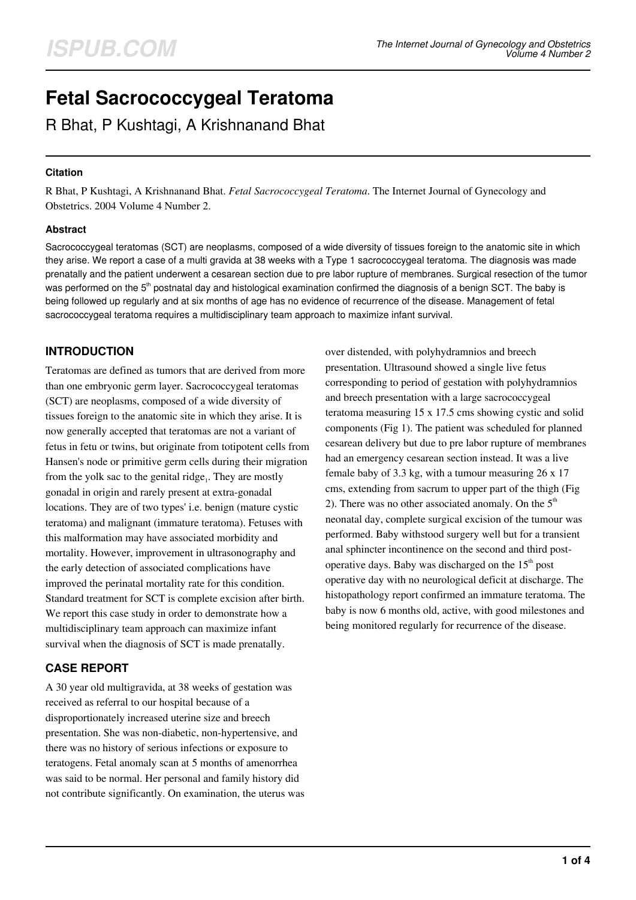# **Fetal Sacrococcygeal Teratoma**

R Bhat, P Kushtagi, A Krishnanand Bhat

#### **Citation**

R Bhat, P Kushtagi, A Krishnanand Bhat. *Fetal Sacrococcygeal Teratoma*. The Internet Journal of Gynecology and Obstetrics. 2004 Volume 4 Number 2.

#### **Abstract**

Sacrococcygeal teratomas (SCT) are neoplasms, composed of a wide diversity of tissues foreign to the anatomic site in which they arise. We report a case of a multi gravida at 38 weeks with a Type 1 sacrococcygeal teratoma. The diagnosis was made prenatally and the patient underwent a cesarean section due to pre labor rupture of membranes. Surgical resection of the tumor was performed on the 5<sup>th</sup> postnatal day and histological examination confirmed the diagnosis of a benign SCT. The baby is being followed up regularly and at six months of age has no evidence of recurrence of the disease. Management of fetal sacrococcygeal teratoma requires a multidisciplinary team approach to maximize infant survival.

# **INTRODUCTION**

Teratomas are defined as tumors that are derived from more than one embryonic germ layer. Sacrococcygeal teratomas (SCT) are neoplasms, composed of a wide diversity of tissues foreign to the anatomic site in which they arise. It is now generally accepted that teratomas are not a variant of fetus in fetu or twins, but originate from totipotent cells from Hansen's node or primitive germ cells during their migration from the yolk sac to the genital ridge $<sub>1</sub>$ . They are mostly</sub> gonadal in origin and rarely present at extra-gonadal locations. They are of two types' i.e. benign (mature cystic teratoma) and malignant (immature teratoma). Fetuses with this malformation may have associated morbidity and mortality. However, improvement in ultrasonography and the early detection of associated complications have improved the perinatal mortality rate for this condition. Standard treatment for SCT is complete excision after birth. We report this case study in order to demonstrate how a multidisciplinary team approach can maximize infant survival when the diagnosis of SCT is made prenatally.

# **CASE REPORT**

A 30 year old multigravida, at 38 weeks of gestation was received as referral to our hospital because of a disproportionately increased uterine size and breech presentation. She was non-diabetic, non-hypertensive, and there was no history of serious infections or exposure to teratogens. Fetal anomaly scan at 5 months of amenorrhea was said to be normal. Her personal and family history did not contribute significantly. On examination, the uterus was over distended, with polyhydramnios and breech presentation. Ultrasound showed a single live fetus corresponding to period of gestation with polyhydramnios and breech presentation with a large sacrococcygeal teratoma measuring 15 x 17.5 cms showing cystic and solid components (Fig 1). The patient was scheduled for planned cesarean delivery but due to pre labor rupture of membranes had an emergency cesarean section instead. It was a live female baby of 3.3 kg, with a tumour measuring 26 x 17 cms, extending from sacrum to upper part of the thigh (Fig 2). There was no other associated anomaly. On the  $5<sup>th</sup>$ neonatal day, complete surgical excision of the tumour was performed. Baby withstood surgery well but for a transient anal sphincter incontinence on the second and third postoperative days. Baby was discharged on the  $15<sup>th</sup>$  post operative day with no neurological deficit at discharge. The histopathology report confirmed an immature teratoma. The baby is now 6 months old, active, with good milestones and being monitored regularly for recurrence of the disease.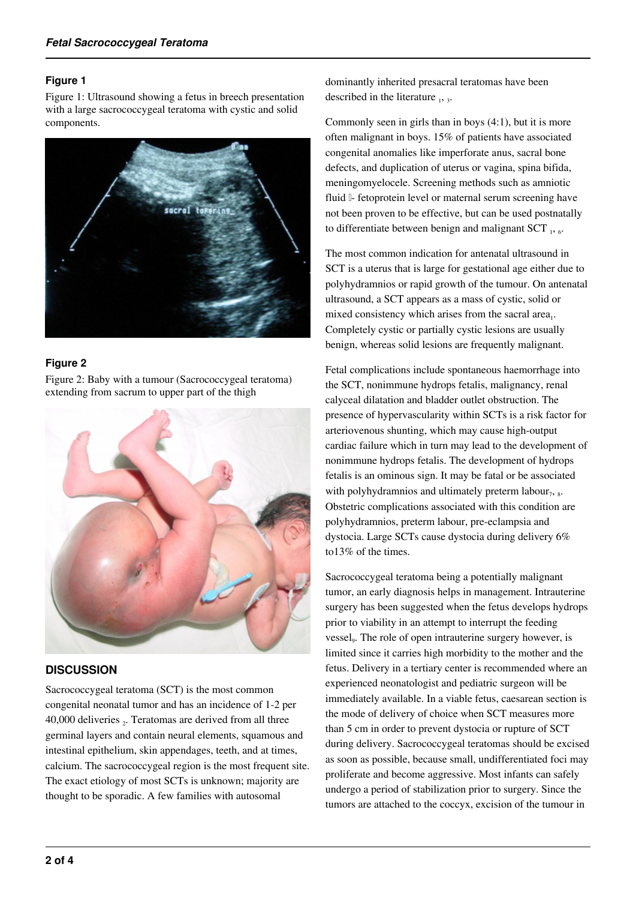#### **Figure 1**

Figure 1: Ultrasound showing a fetus in breech presentation with a large sacrococcygeal teratoma with cystic and solid components.



## **Figure 2**

Figure 2: Baby with a tumour (Sacrococcygeal teratoma) extending from sacrum to upper part of the thigh



## **DISCUSSION**

Sacrococcygeal teratoma (SCT) is the most common congenital neonatal tumor and has an incidence of 1-2 per 40,000 deliveries  $_2$ . Teratomas are derived from all three germinal layers and contain neural elements, squamous and intestinal epithelium, skin appendages, teeth, and at times, calcium. The sacrococcygeal region is the most frequent site. The exact etiology of most SCTs is unknown; majority are thought to be sporadic. A few families with autosomal

dominantly inherited presacral teratomas have been described in the literature  $_1$ ,  $_3$ .

Commonly seen in girls than in boys (4:1), but it is more often malignant in boys. 15% of patients have associated congenital anomalies like imperforate anus, sacral bone defects, and duplication of uterus or vagina, spina bifida, meningomyelocele. Screening methods such as amniotic fluid  $\mathbb I$ - fetoprotein level or maternal serum screening have not been proven to be effective, but can be used postnatally to differentiate between benign and malignant SCT  $_1$ ,  $_6$ .

The most common indication for antenatal ultrasound in SCT is a uterus that is large for gestational age either due to polyhydramnios or rapid growth of the tumour. On antenatal ultrasound, a SCT appears as a mass of cystic, solid or mixed consistency which arises from the sacral area $_1$ . Completely cystic or partially cystic lesions are usually benign, whereas solid lesions are frequently malignant.

Fetal complications include spontaneous haemorrhage into the SCT, nonimmune hydrops fetalis, malignancy, renal calyceal dilatation and bladder outlet obstruction. The presence of hypervascularity within SCTs is a risk factor for arteriovenous shunting, which may cause high-output cardiac failure which in turn may lead to the development of nonimmune hydrops fetalis. The development of hydrops fetalis is an ominous sign. It may be fatal or be associated with polyhydramnios and ultimately preterm labour $_7$ ,  $_8$ . Obstetric complications associated with this condition are polyhydramnios, preterm labour, pre-eclampsia and dystocia. Large SCTs cause dystocia during delivery 6% to13% of the times.

Sacrococcygeal teratoma being a potentially malignant tumor, an early diagnosis helps in management. Intrauterine surgery has been suggested when the fetus develops hydrops prior to viability in an attempt to interrupt the feeding vessel<sub>9</sub>. The role of open intrauterine surgery however, is limited since it carries high morbidity to the mother and the fetus. Delivery in a tertiary center is recommended where an experienced neonatologist and pediatric surgeon will be immediately available. In a viable fetus, caesarean section is the mode of delivery of choice when SCT measures more than 5 cm in order to prevent dystocia or rupture of SCT during delivery. Sacrococcygeal teratomas should be excised as soon as possible, because small, undifferentiated foci may proliferate and become aggressive. Most infants can safely undergo a period of stabilization prior to surgery. Since the tumors are attached to the coccyx, excision of the tumour in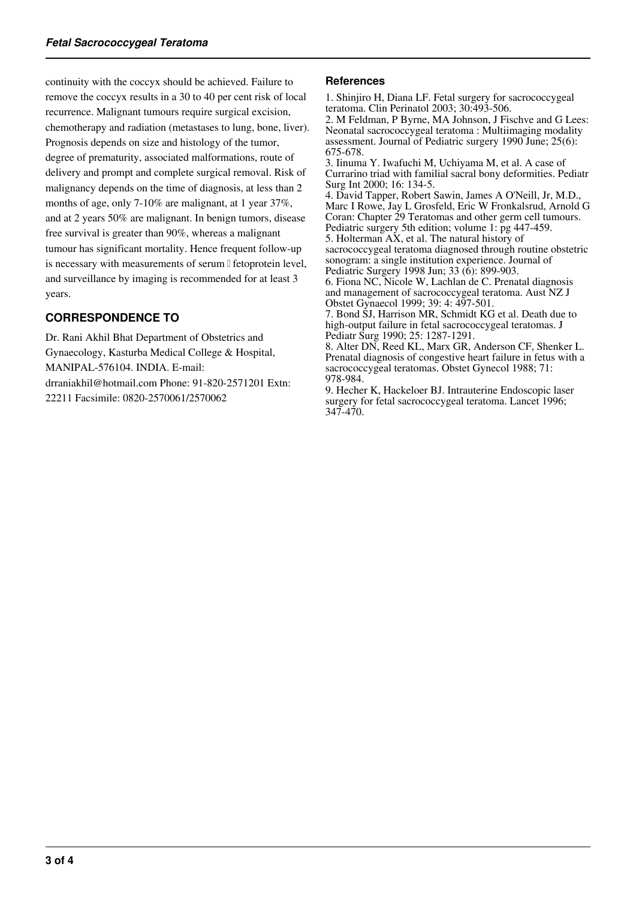continuity with the coccyx should be achieved. Failure to remove the coccyx results in a 30 to 40 per cent risk of local recurrence. Malignant tumours require surgical excision, chemotherapy and radiation (metastases to lung, bone, liver). Prognosis depends on size and histology of the tumor, degree of prematurity, associated malformations, route of delivery and prompt and complete surgical removal. Risk of malignancy depends on the time of diagnosis, at less than 2 months of age, only 7-10% are malignant, at 1 year 37%, and at 2 years 50% are malignant. In benign tumors, disease free survival is greater than 90%, whereas a malignant tumour has significant mortality. Hence frequent follow-up is necessary with measurements of serum II fetoprotein level, and surveillance by imaging is recommended for at least 3 years.

# **CORRESPONDENCE TO**

Dr. Rani Akhil Bhat Department of Obstetrics and Gynaecology, Kasturba Medical College & Hospital, MANIPAL-576104. INDIA. E-mail: drraniakhil@hotmail.com Phone: 91-820-2571201 Extn: 22211 Facsimile: 0820-2570061/2570062

#### **References**

1. Shinjiro H, Diana LF. Fetal surgery for sacrococcygeal teratoma. Clin Perinatol 2003; 30:493-506. 2. M Feldman, P Byrne, MA Johnson, J Fischve and G Lees: Neonatal sacrococcygeal teratoma : Multiimaging modality assessment. Journal of Pediatric surgery 1990 June; 25(6): 675-678. 3. Iinuma Y. Iwafuchi M, Uchiyama M, et al. A case of Currarino triad with familial sacral bony deformities. Pediatr Surg Int 2000; 16: 134-5. 4. David Tapper, Robert Sawin, James A O'Neill, Jr, M.D., Marc I Rowe, Jay L Grosfeld, Eric W Fronkalsrud, Arnold G Coran: Chapter 29 Teratomas and other germ cell tumours. Pediatric surgery 5th edition; volume 1: pg 447-459. 5. Holterman AX, et al. The natural history of sacrococcygeal teratoma diagnosed through routine obstetric sonogram: a single institution experience. Journal of Pediatric Surgery 1998 Jun; 33 (6): 899-903. 6. Fiona NC, Nicole W, Lachlan de C. Prenatal diagnosis and management of sacrococcygeal teratoma. Aust NZ J Obstet Gynaecol 1999; 39: 4: 497-501. 7. Bond SJ, Harrison MR, Schmidt KG et al. Death due to

high-output failure in fetal sacrococcygeal teratomas. J Pediatr Surg 1990; 25: 1287-1291.

8. Alter DN, Reed KL, Marx GR, Anderson CF, Shenker L. Prenatal diagnosis of congestive heart failure in fetus with a sacrococcygeal teratomas. Obstet Gynecol 1988; 71: 978-984.

9. Hecher K, Hackeloer BJ. Intrauterine Endoscopic laser surgery for fetal sacrococcygeal teratoma. Lancet 1996; 347-470.